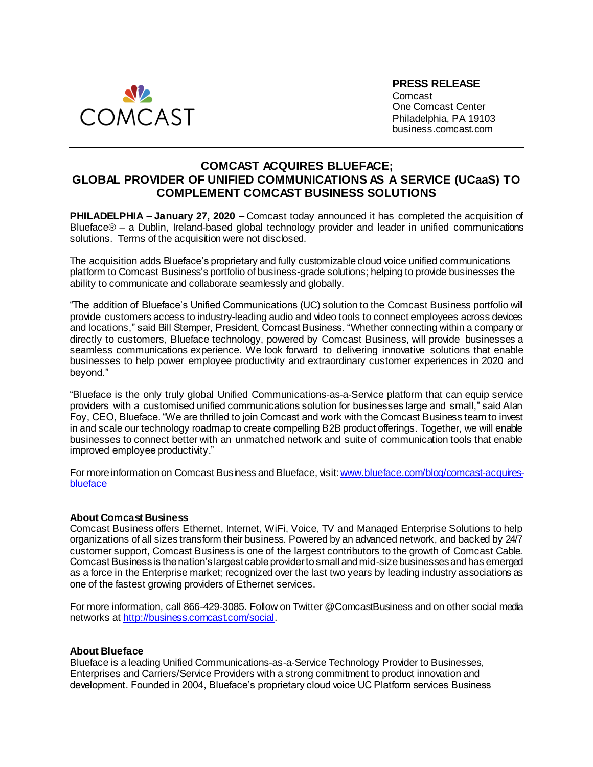

**PRESS RELEASE** Comcast One Comcast Center Philadelphia, PA 19103 business.comcast.com

## **COMCAST ACQUIRES BLUEFACE; GLOBAL PROVIDER OF UNIFIED COMMUNICATIONS AS A SERVICE (UCaaS) TO COMPLEMENT COMCAST BUSINESS SOLUTIONS**

**PHILADELPHIA – January 27, 2020 –** Comcast today announced it has completed the acquisition of Blueface® – a Dublin, Ireland-based global technology provider and leader in unified communications solutions. Terms of the acquisition were not disclosed.

The acquisition adds Blueface's proprietary and fully customizable cloud voice unified communications platform to Comcast Business's portfolio of business-grade solutions; helping to provide businesses the ability to communicate and collaborate seamlessly and globally.

"The addition of Blueface's Unified Communications (UC) solution to the Comcast Business portfolio will provide customers access to industry-leading audio and video tools to connect employees across devices and locations," said Bill Stemper, President, Comcast Business. "Whether connecting within a company or directly to customers, Blueface technology, powered by Comcast Business, will provide businesses a seamless communications experience. We look forward to delivering innovative solutions that enable businesses to help power employee productivity and extraordinary customer experiences in 2020 and beyond."

"Blueface is the only truly global Unified Communications-as-a-Service platform that can equip service providers with a customised unified communications solution for businesses large and small," said Alan Foy, CEO, Blueface. "We are thrilled to join Comcast and work with the Comcast Business team to invest in and scale our technology roadmap to create compelling B2B product offerings. Together, we will enable businesses to connect better with an unmatched network and suite of communication tools that enable improved employee productivity."

For more information on Comcast Business and Blueface, visit[: www.blueface.com/blog/comcast-acquires](http://www.blueface.com/blog/comcast-acquires-blueface)[blueface](http://www.blueface.com/blog/comcast-acquires-blueface)

## **About Comcast Business**

Comcast Business offers Ethernet, Internet, WiFi, Voice, TV and Managed Enterprise Solutions to help organizations of all sizes transform their business. Powered by an advanced network, and backed by 24/7 customer support, Comcast Business is one of the largest contributors to the growth of Comcast Cable. Comcast Business is the nation's largest cable provider to small and mid-size businesses and has emerged as a force in the Enterprise market; recognized over the last two years by leading industry associations as one of the fastest growing providers of Ethernet services.

For more information, call 866-429-3085. Follow on Twitter @ComcastBusiness and on other social media networks at [http://business.comcast.com/social](http://business.comcast.com/about-us/social-media).

## **About Blueface**

Blueface is a leading Unified Communications-as-a-Service Technology Provider to Businesses, Enterprises and Carriers/Service Providers with a strong commitment to product innovation and development. Founded in 2004, Blueface's proprietary cloud voice UC Platform services Business